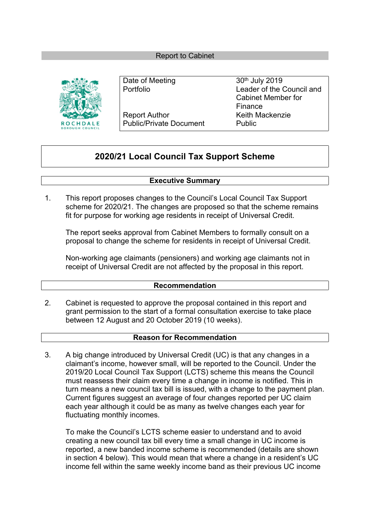#### Report to Cabinet



Report Author **Keith Mackenzie** Public/Private Document Public

Date of Meeting 30<sup>th</sup> July 2019 Portfolio Leader of the Council and Cabinet Member for Finance

# **2020/21 Local Council Tax Support Scheme**

#### **Executive Summary**

1. This report proposes changes to the Council's Local Council Tax Support scheme for 2020/21. The changes are proposed so that the scheme remains fit for purpose for working age residents in receipt of Universal Credit.

The report seeks approval from Cabinet Members to formally consult on a proposal to change the scheme for residents in receipt of Universal Credit.

Non-working age claimants (pensioners) and working age claimants not in receipt of Universal Credit are not affected by the proposal in this report.

#### **Recommendation**

2. Cabinet is requested to approve the proposal contained in this report and grant permission to the start of a formal consultation exercise to take place between 12 August and 20 October 2019 (10 weeks).

#### **Reason for Recommendation**

3. A big change introduced by Universal Credit (UC) is that any changes in a claimant's income, however small, will be reported to the Council. Under the 2019/20 Local Council Tax Support (LCTS) scheme this means the Council must reassess their claim every time a change in income is notified. This in turn means a new council tax bill is issued, with a change to the payment plan. Current figures suggest an average of four changes reported per UC claim each year although it could be as many as twelve changes each year for fluctuating monthly incomes.

To make the Council's LCTS scheme easier to understand and to avoid creating a new council tax bill every time a small change in UC income is reported, a new banded income scheme is recommended (details are shown in section 4 below). This would mean that where a change in a resident's UC income fell within the same weekly income band as their previous UC income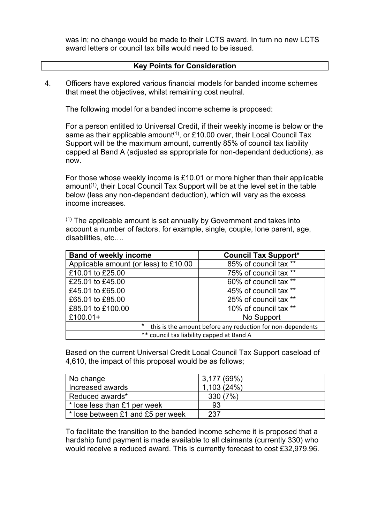was in; no change would be made to their LCTS award. In turn no new LCTS award letters or council tax bills would need to be issued.

#### **Key Points for Consideration**

4. Officers have explored various financial models for banded income schemes that meet the objectives, whilst remaining cost neutral.

The following model for a banded income scheme is proposed:

For a person entitled to Universal Credit, if their weekly income is below or the same as their applicable amount<sup>(1)</sup>, or £10.00 over, their Local Council Tax Support will be the maximum amount, currently 85% of council tax liability capped at Band A (adjusted as appropriate for non-dependant deductions), as now.

For those whose weekly income is £10.01 or more higher than their applicable amount<sup>(1)</sup>, their Local Council Tax Support will be at the level set in the table below (less any non-dependant deduction), which will vary as the excess income increases.

(1) The applicable amount is set annually by Government and takes into account a number of factors, for example, single, couple, lone parent, age, disabilities, etc….

| <b>Band of weekly income</b>                                          | <b>Council Tax Support*</b> |  |
|-----------------------------------------------------------------------|-----------------------------|--|
| Applicable amount (or less) to £10.00                                 | 85% of council tax **       |  |
| £10.01 to £25.00                                                      | 75% of council tax **       |  |
| £25.01 to £45.00                                                      | 60% of council tax **       |  |
| £45.01 to £65.00                                                      | 45% of council tax **       |  |
| £65.01 to £85.00                                                      | 25% of council tax **       |  |
| £85.01 to £100.00                                                     | 10% of council tax **       |  |
| £100.01+                                                              | No Support                  |  |
| $\star$<br>this is the amount before any reduction for non-dependents |                             |  |
| ** council tax liability capped at Band A                             |                             |  |

Based on the current Universal Credit Local Council Tax Support caseload of 4,610, the impact of this proposal would be as follows;

| No change                         | 3,177(69%) |
|-----------------------------------|------------|
| Increased awards                  | 1,103(24%) |
| Reduced awards*                   | 330 (7%)   |
| * lose less than £1 per week      | 93         |
| * lose between £1 and £5 per week | 237        |

To facilitate the transition to the banded income scheme it is proposed that a hardship fund payment is made available to all claimants (currently 330) who would receive a reduced award. This is currently forecast to cost £32,979.96.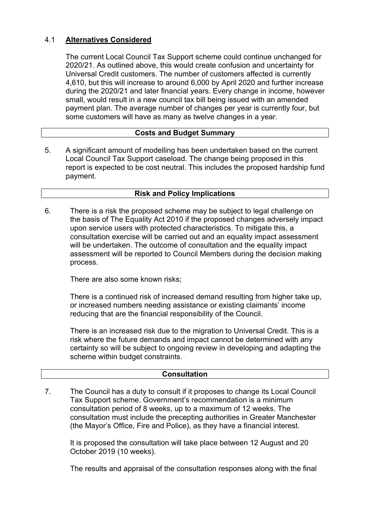# 4.1 **Alternatives Considered**

The current Local Council Tax Support scheme could continue unchanged for 2020/21. As outlined above, this would create confusion and uncertainty for Universal Credit customers. The number of customers affected is currently 4,610, but this will increase to around 6,000 by April 2020 and further increase during the 2020/21 and later financial years. Every change in income, however small, would result in a new council tax bill being issued with an amended payment plan. The average number of changes per year is currently four, but some customers will have as many as twelve changes in a year.

# **Costs and Budget Summary**

5. A significant amount of modelling has been undertaken based on the current Local Council Tax Support caseload. The change being proposed in this report is expected to be cost neutral. This includes the proposed hardship fund payment.

# **Risk and Policy Implications**

There is a risk the proposed scheme may be subject to legal challenge on the basis of The Equality Act 2010 if the proposed changes adversely impact upon service users with protected characteristics. To mitigate this, a consultation exercise will be carried out and an equality impact assessment will be undertaken. The outcome of consultation and the equality impact assessment will be reported to Council Members during the decision making process. 6.

There are also some known risks;

There is a continued risk of increased demand resulting from higher take up, or increased numbers needing assistance or existing claimants' income reducing that are the financial responsibility of the Council.

There is an increased risk due to the migration to Universal Credit. This is a risk where the future demands and impact cannot be determined with any certainty so will be subject to ongoing review in developing and adapting the scheme within budget constraints.

# **Consultation**

7. The Council has a duty to consult if it proposes to change its Local Council Tax Support scheme. Government's recommendation is a minimum consultation period of 8 weeks, up to a maximum of 12 weeks. The consultation must include the precepting authorities in Greater Manchester (the Mayor's Office, Fire and Police), as they have a financial interest.

It is proposed the consultation will take place between 12 August and 20 October 2019 (10 weeks).

The results and appraisal of the consultation responses along with the final